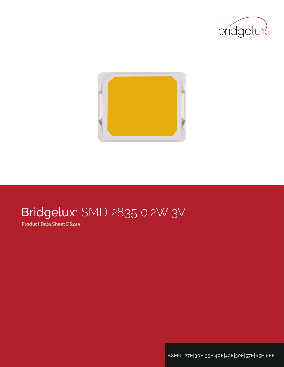



# Bridgelux® SMD 2835 0.2W 3V

**Product Data Sheet DS245**

**BXEN- 27E|30E|35E|40E|42E|50E|57E|65E|68E**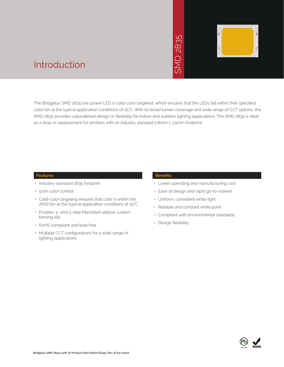# 2835 SMD 2835  $\overline{\bigcap}$ **INS**



### Introduction

The Bridgelux SMD 2835 low power LED is cold-color targeted, which ensures that the LEDs fall within their specified color bin at the typical application conditions of 25°C. With its broad lumen coverage and wide range of CCT options, the SMD 2835 provides unparalleled design-in flexibility for indoor and outdoor lighting applications. The SMD 2835 is ideal as a drop-in replacement for emitters with an industry standard 2.8mm x 3.5mm footprint.

#### **Features**

- Industry-standard 2835 footprint
- 9 bin color control
- Cold-color targeting ensures that color is within the ANSI bin at the typical application conditions of 25°C
- Enables 3- and 5-step MacAdam ellipse custom binning kits
- RoHS compliant and lead free
- Multiple CCT configurations for a wide range of lighting applications

#### **Benefits**

- Lower operating and manufacturing cost
- Ease of design and rapid go-to-market
- Uniform, consistent white light
- Reliable and constant white point
- Compliant with environmental standards
- Design flexibility

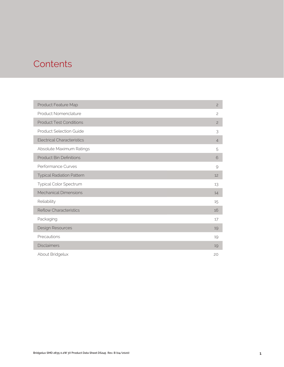### **Contents**

| Product Feature Map               | $\overline{c}$ |
|-----------------------------------|----------------|
| Product Nomenclature              | $\overline{c}$ |
| <b>Product Test Conditions</b>    | $\overline{c}$ |
| <b>Product Selection Guide</b>    | 3              |
| <b>Electrical Characteristics</b> | $\overline{4}$ |
| Absolute Maximum Ratings          | 5              |
| <b>Product Bin Definitions</b>    | 6              |
| Performance Curves                | 9              |
| <b>Typical Radiation Pattern</b>  | 12             |
| Typical Color Spectrum            | 13             |
| <b>Mechanical Dimensions</b>      | 14             |
| Reliability                       | 15             |
| <b>Reflow Characteristics</b>     | 16             |
| Packaging                         | 17             |
| Design Resources                  | 19             |
| Precautions                       | 19             |
| <b>Disclaimers</b>                | 19             |
| About Bridgelux                   | 20             |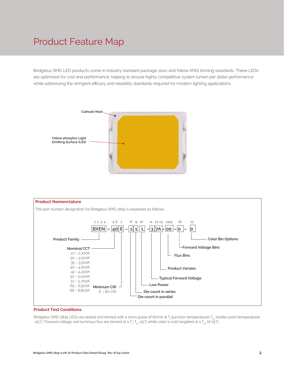### Product Feature Map

Bridgelux SMD LED products come in industry standard package sizes and follow ANSI binning standards. These LEDs are optimized for cost and performance, helping to ensure highly competitive system lumen per dollar performance while addressing the stringent efficacy and reliability standards required for modern lighting applications.





#### **Product Test Conditions**

Bridgelux SMD 2835 LEDs are tested and binned with a 10ms pulse of 60mA at T<sub>j</sub> (junction temperature)=T<sub>sp</sub> (solder point temperature) =25°C. Forward voltage and luminous flux are binned at a T<sub>j</sub>=T<sub>sp</sub>=25°C.while color is cold targeted at a T<sub>sp</sub> of 25°C.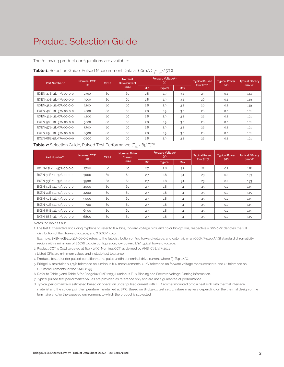### Product Selection Guide

The following product configurations are available:

| Part Number <sup>1,6</sup> | Nominal CCT <sup>2</sup> | CRI3.5 | <b>Nominal</b><br><b>Drive Current</b> |            | <b>Forward Voltage4.5</b><br>(V) |            | <b>Typical Pulsed</b> | <b>Typical Power</b> | <b>Typical Efficacy</b>              |  |
|----------------------------|--------------------------|--------|----------------------------------------|------------|----------------------------------|------------|-----------------------|----------------------|--------------------------------------|--|
|                            | (K)                      |        | (mA)                                   | <b>Min</b> | <b>Typical</b>                   | <b>Max</b> | Flux $(lm)^{4.5}$     | (W)                  | $\langle \text{Im}/\text{W} \rangle$ |  |
| BXEN-27E-11L-37A-00-0-0    | 2700                     | 80     | 60                                     | 2.8        | 2.9                              | 3.2        | 25                    | 0.2                  | 144                                  |  |
| BXEN-30E-11L-37A-00-0-0    | 3000                     | 80     | 60                                     | 2.8        | 2.9                              | 3.2        | 26                    | 0.2                  | 149                                  |  |
| BXEN-35E-11L-37A-00-0-0    | 3500                     | 80     | 60                                     | 2.8        | 2.9                              | 3.2        | 26                    | 0.2                  | 149                                  |  |
| BXEN-40E-11L-37A-00-0-0    | 4000                     | 80     | 60                                     | 2.8        | 2.9                              | 3.2        | 28                    | 0.2                  | 161                                  |  |
| BXEN-42E-11L-37A-00-0-0    | 4200                     | 80     | 60                                     | 2.8        | 2.9                              | 3.2        | 28                    | 0.2                  | 161                                  |  |
| BXEN-50E-11L-37A-00-0-0    | 5000                     | 80     | 60                                     | 2.8        | 2.9                              | 3.2        | 28                    | 0.2                  | 161                                  |  |
| BXEN-57E-11L-37A-00-0-0    | 5700                     | 80     | 60                                     | 2.8        | 2.9                              | 3.2        | 28                    | 0.2                  | 161                                  |  |
| BXEN-65E-11L-37A-00-0-0    | 6500                     | 80     | 60                                     | 2.8        | 2.9                              | 3.2        | 28                    | 0.2                  | 161                                  |  |
| BXEN-68E-11L-37A-00-0-0    | 6800                     | 80     | 60                                     | 2.8        | 2.9                              | 3.2        | 28                    | 0.2                  | 161                                  |  |

### **Table 1:** Selection Guide, Pulsed Measurement Data at 60mA (T<sub>j</sub>=T<sub>sp</sub>=25°C)

**Table 2:** Selection Guide, Pulsed Test Performance  $(T_{sp} = 85^{\circ}C)^{78}$ 

| Part Number <sup>1,6</sup> | Nominal CCT <sup>2</sup><br>(K) | CRI3.5 | <b>Nominal Drive</b><br>Current |            | Forward Voltage <sup>5</sup><br>(V) |            | <b>Typical Pulsed</b><br>Flux (lm) <sup>5</sup> | <b>Typical Power</b> | <b>Typical Efficacy</b><br>$\frac{1}{2}$ |
|----------------------------|---------------------------------|--------|---------------------------------|------------|-------------------------------------|------------|-------------------------------------------------|----------------------|------------------------------------------|
|                            |                                 |        | (mA)                            | <b>Min</b> | <b>Typical</b>                      | <b>Max</b> |                                                 | (W)                  |                                          |
| BXEN-27E-11L-37A-00-0-0    | 2700                            | 80     | 60                              | 2.7        | 2.8                                 | 3.1        | 22                                              | 0.2                  | 128                                      |
| BXEN-30E-11L-37A-00-0-0    | 3000                            | 80     | 60                              | 2.7        | 2.8                                 | 3.1        | 23                                              | 0.2                  | 133                                      |
| BXEN-35E-11L-37A-00-0-0    | 3500                            | 80     | 60                              | 2.7        | 2.8                                 | 3.1        | 23                                              | 0.2                  | 133                                      |
| BXEN-40E-11L-37A-00-0-0    | 4000                            | 80     | 60                              | 2.7        | 2.8                                 | 3.1        | 25                                              | 0.2                  | 145                                      |
| BXEN-42E-11L-37A-00-0-0    | 4200                            | 80     | 60                              | 2.7        | 2.8                                 | 3.1        | 25                                              | 0.2                  | 145                                      |
| BXEN-50E-11L-37A-00-0-0    | 5000                            | 80     | 60                              | 2.7        | 2.8                                 | 3.1        | 25                                              | 0.2                  | 145                                      |
| BXEN-57E-11L-37A-00-0-0    | 5700                            | 80     | 60                              | 2.7        | 2.8                                 | 3.1        | 25                                              | 0.2                  | 145                                      |
| BXEN-65E-11L-37A-00-0-0    | 6500                            | 80     | 60                              | 2.7        | 2.8                                 | 3.1        | 25                                              | 0.2                  | 145                                      |
| BXEN-68E-11L-37A-00-0-0    | 6800                            | 80     | 60                              | 2.7        | 2.8                                 | 3.1        | 25                                              | 0.2                  | 145                                      |

Notes for Tables 1 & 2:

1. The last 6 characters (including hyphens '-') refer to flux bins, forward voltage bins, and color bin options, respectively. "00-0-0" denotes the full distribution of flux, forward voltage, and 7 SDCM color.

 Example: BXEN-40E-11L-37A-00-0-0 refers to the full distribution of flux, forward voltage, and color within a 4000K 7-step ANSI standard chromaticity region with a minimum of 80CRI, 1x1 die configuration, low power, 2.9V typical forward voltage.

2. Product CCT is Cold targeted at Tsp = 25°C. Nominal CCT as defined by ANSI C78.377-2011.

3. Listed CRIs are minimum values and include test tolerance.

4. Products tested under pulsed condition (10ms pulse width) at nominal drive current where Tj=Tsp=25°C.

5. Bridgelux maintains a ±7.5% tolerance on luminous flux measurements, ±0.1V tolerance on forward voltage measurements, and ±2 tolerance on CRI measurements for the SMD 2835.

6. Refer to Table 5 and Table 6 for Bridgelux SMD 2835 Luminous Flux Binning and Forward Voltage Binning information.

7. Typical pulsed test performance values are provided as reference only and are not a guarantee of performance.

8. Typical performance is estimated based on operation under pulsed current with LED emitter mounted onto a heat sink with thermal interface

 material and the solder point temperature maintained at 85°C. Based on Bridgelux test setup, values may vary depending on the thermal design of the luminaire and/or the exposed environment to which the product is subjected.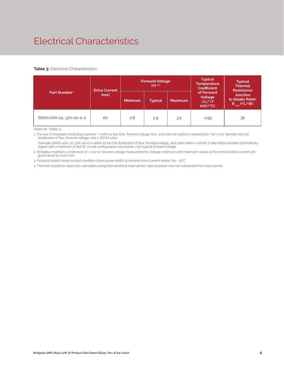## Electrical Characteristics

#### **Table 3: Electrical Characteristics**

|                          | <b>Drive Current</b>   |     | <b>Forward Voltage</b><br>$(V)$ <sup>2.3</sup> |                | <b>Typical</b><br><b>Temperature</b><br><b>Coefficient</b>  | <b>Typical</b><br><b>Thermal</b><br><b>Resistance</b>                |  |
|--------------------------|------------------------|-----|------------------------------------------------|----------------|-------------------------------------------------------------|----------------------------------------------------------------------|--|
| Part Number <sup>1</sup> | (mA)<br><b>Minimum</b> |     | <b>Typical</b>                                 | <b>Maximum</b> | of Forward<br>Voltage<br>$\Delta V \sim \Delta T$<br>(mV/C) | <b>Junction</b><br>to Solder Point <sup>4</sup><br>$R_{j-sp}$ (°C/W) |  |
| BXEN-XXX-11L-37A-00-0-0  | 60                     | 2.8 | 2.9                                            | 3.2            | $-1.59$                                                     | 36                                                                   |  |

Notes for Tables 3:

1. The last 6 characters (including hyphens '-') refer to flux bins, forward voltage bins, and color bin options, respectively. "00-0-00" denotes the full distribution of flux, forward voltage, and 7 SDCM color.

 Example: BXEN-40E-11L-37A-00-0-0 refers to the full distribution of flux, forward voltage, and color within a 4000K 7-step ANSI standard chromaticity region with a minimum of 80CRI, 1x1 die configuration, low power, 2.9V typical forward voltage.

2. Bridgelux maintains a tolerance of ± 0.1V on forward voltage measurements. Voltage minimum and maximum values at the nominal drive current are guaranteed by 100% test.

3. Products tested under pulsed condition (10ms pulse width) at nominal drive current where Tsp = 25°C.

4. Thermal resistance value was calculated using total electrical input power; optical power was not subtracted from input power.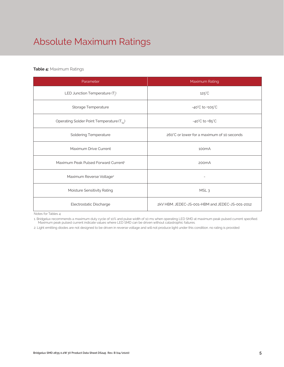# Absolute Maximum Ratings

### **Table 4:** Maximum Ratings

| Parameter                                             | Maximum Rating                                  |  |  |  |
|-------------------------------------------------------|-------------------------------------------------|--|--|--|
| LED Junction Temperature (T <sub>i</sub> )            | $125^{\circ}$ C                                 |  |  |  |
| Storage Temperature                                   | $-40^{\circ}$ C to $+105^{\circ}$ C             |  |  |  |
| Operating Solder Point Temperature (T <sub>Sp</sub> ) | $-40^{\circ}$ C to $+85^{\circ}$ C              |  |  |  |
| <b>Soldering Temperature</b>                          | 260°C or lower for a maximum of 10 seconds      |  |  |  |
| Maximum Drive Current                                 | 100 <sub>m</sub> A                              |  |  |  |
| Maximum Peak Pulsed Forward Current <sup>1</sup>      | 200 <sub>m</sub> A                              |  |  |  |
| Maximum Reverse Voltage <sup>2</sup>                  |                                                 |  |  |  |
| Moisture Sensitivity Rating                           | MSL <sub>3</sub>                                |  |  |  |
| Electrostatic Discharge                               | 2kV HBM, JEDEC-JS-001-HBM and JEDEC-JS-001-2012 |  |  |  |

Notes for Tables 4:

1. Bridgelux recommends a maximum duty cycle of 10% and pulse width of 10 ms when operating LED SMD at maximum peak pulsed current specified. Maximum peak pulsed current indicate values where LED SMD can be driven without catastrophic failures.

2. Light emitting diodes are not designed to be driven in reverse voltage and will not produce light under this condition. no rating is provided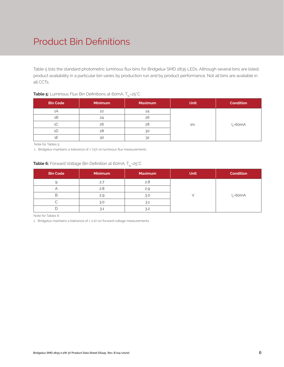## Product Bin Definitions

Table 5 lists the standard photometric luminous flux bins for Bridgelux SMD 2835 LEDs. Although several bins are listed, product availability in a particular bin varies by production run and by product performance. Not all bins are available in all CCTs.

| <b>Bin Code</b> | <b>Minimum</b> | <b>Maximum</b> | <b>Unit</b> | <b>Condition</b> |
|-----------------|----------------|----------------|-------------|------------------|
| 1A              | 22             | 24             |             |                  |
| 1Β              | 24             | 26             |             |                  |
| 1C              | 26             | 28             | lm          | $I_c = 60mA$     |
| 1D              | 28             | 30             |             |                  |
|                 | 30             | 32             |             |                  |

#### **Table 5:** Luminous Flux Bin Definitions at 60mA, T<sub>sp</sub>=25°C

Note for Tables 5:

1. Bridgelux maintains a tolerance of ± 7.5% on luminous flux measurements.

### **Table 6:** Forward Voltage Bin Definition at 60mA, T<sub>sp</sub>=25°C

| <b>Bin Code</b> | <b>Minimum</b> | <b>Maximum</b> | <b>Unit</b> | <b>Condition</b> |  |  |
|-----------------|----------------|----------------|-------------|------------------|--|--|
|                 | 2.7            | 2.8            |             |                  |  |  |
|                 | 2.8            | 2.9            |             |                  |  |  |
| В               | 2.9            | 3.0            |             | $I_{r}$ =60mA    |  |  |
|                 | 3.0            | 3.1            |             |                  |  |  |
|                 | 3.1            | 3.2            |             |                  |  |  |

Note for Tables 6:

1. Bridgelux maintains a tolerance of ± 0.1V on forward voltage measurements.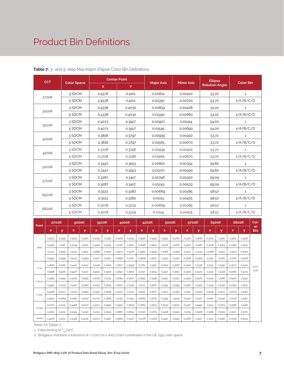### Product Bin Definitions

| <b>CCT</b> |                    | <b>Center Point</b> |        |                   | <b>Minor Axis</b> | <b>Ellipse</b>        | Color Bin    |
|------------|--------------------|---------------------|--------|-------------------|-------------------|-----------------------|--------------|
|            | <b>Color Space</b> | $\mathsf{x}$        | Y      | <b>Major Axis</b> |                   | <b>Rotation Angle</b> |              |
|            | 3 SDCM             | 0.4578              | 0.4101 | 0.00810           | 0.00420           | 53.70                 | $\mathbf{1}$ |
| 2700K      | 5 SDCM             | 0.4578              | 0.4101 | 0.01350           | 0.00700           | 53.70                 | 1/A/B/C/D    |
|            | 3 SDCM             | 0.4338              | 0.4030 | 0.00834           | 0.00408           | 53.22                 | $\mathbf{1}$ |
| 3000K      | 5 SDCM             | 0.4338              | 0.4030 | 0.01390           | 0.00680           | 53.22                 | 1/A/B/C/D    |
|            | 3 SDCM             | 0.4073              | 0.3917 | 0.00927           | 0.00414           | 54.00                 | $\mathbf{1}$ |
| 3500K      | 5 SDCM             | 0.4073              | 0.3917 | 0.01545           | 0.00690           | 54.00                 | 1/A/B/C/D    |
|            | 3 SDCM             | 0.3818              | 0.3797 | 0.00939           | 0.00402           | 53.72                 | $1\,$        |
| 4000K      | 5 SDCM             | 0.3818              | 0.3797 | 0.01565           | 0.00670           | 53.72                 | 1/A/B/C/D    |
|            | 3 SDCM             | 0.3728              | 0.3748 | 0.00939           | 0.00402           | 53.72                 | 1            |
| 4200K      | 5 SDCM             | 0.3728              | 0.3748 | 0.01565           | 0.00670           | 53.72                 | 1/A/B/C/D    |
|            | 3 SDCM             | 0.3447              | 0.3553 | 0.00822           | 0.00354           | 59.62                 | $\mathbf{1}$ |
| 5000K      | 5 SDCM             | 0.3447              | 0.3553 | 0.01370           | 0.00590           | 59.62                 | 1/A/B/C/D    |
|            | 3 SDCM             | 0.3287              | 0.3417 | 0.00746           | 0.00320           | 59.09                 | $\mathbf{1}$ |
| 5700K      | 5 SDCM             | 0.3287              | 0.3417 | 0.01243           | 0.00533           | 59.09                 | 1/A/B/C/D    |
|            | 3 SDCM             | 0.3123              | 0.3282 | 0.00669           | 0.00285           | 58.57                 | $\mathbf{1}$ |
| 6500K      | 5 SDCM             | 0.3123              | 0.3282 | 0.01115           | 0.00475           | 58.57                 | 1/A/B/C/D    |
|            | 3 SDCM             | 0.3078              | 0.3229 | 0.00669           | 0.00285           | 58.57                 | $\mathbf{1}$ |
| 6800K      | 5 SDCM             | 0.3078              | 0.3229 | 0.01115           | 0.00475           | 58.57                 | 1/A/B/C/D    |

**Table 7:** 3- and 5-step MacAdam Ellipse Color Bin Definitions

| Point   |        | <b>2700K</b> |        | 3000K  |        | 3500K  |        | 4000K  |        | 4200K  |        | 5000K  |        | 5700K  |        | 6500K  |        | 6800K  | Col-                    |
|---------|--------|--------------|--------|--------|--------|--------|--------|--------|--------|--------|--------|--------|--------|--------|--------|--------|--------|--------|-------------------------|
|         | x      | У            | x      | v      | x      | У      | x      | ۷      | x      | v      | x      | v      | x      | У      | x      | У      | x      | v      | <b>or</b><br><b>Bin</b> |
|         | 0.4813 | 0.4319       | 0.4562 | 0.4260 | 0.4299 | 0.4165 | 0.4006 | 0.4044 | 0.3916 | 0.3995 | 0.3551 | 0.3760 | 0.3376 | 0.3616 | 0.3205 | 0.3481 | 0.3160 | 0.3428 |                         |
| ANSI    | 0.4562 | 0.426        | 0.4299 | 0.4165 | 0.3996 | 0.4015 | 0.3736 | 0.3874 | 0.3646 | 0.3825 | 0.3376 | 0.3616 | 0.3207 | 0.3462 | 0.3028 | 0.3304 | 0.2983 | 0.3251 |                         |
|         | 0.4373 | 0.3893       | 0.4147 | 0.3814 | 0.3889 | 0.3690 | 0.3670 | 0.3578 | 0.3580 | 0.3529 | 0.3366 | 0.3369 | 0.3222 | 0.3243 | 0.3068 | 0.3113 | 0.3023 | 0.3060 |                         |
|         | 0.4593 | 0.3944       | 0.4373 | 0.3893 | 0.4147 | 0.3814 | 0.3898 | 0.3716 | 0.3808 | 0.3667 | 0.3515 | 0.3487 | 0.3366 | 0.3369 | 0.3221 | 0.3261 | 0.3176 | 0.3208 |                         |
|         | 0.4687 | 0.4289       | 0.4431 | 0.4213 | 0.4148 | 0.4090 | 0.3871 | 0.3959 | 0.3781 | 0.3910 | 0.3463 | 0.3687 | 0.3290 | 0.3538 | 0.3115 | 0.3391 | 0.3072 | 0.3340 | E/F/                    |
| V-up    | 0.4618 | 0.4170       | 0.4377 | 0.4101 | 0.4112 | 0.3996 | 0.3847 | 0.3873 | 0.3757 | 0.3824 | 0.3457 | 0.3617 | 0.3290 | 0.3470 | 0.3124 | 0.3328 | 0.3080 | 0.3275 | G/H                     |
|         | 0.4483 | 0.3919       | 0.4260 | 0.3854 | 0.4018 | 0.3752 | 0.3784 | 0.3647 | 0.3694 | 0.3598 | 0.3440 | 0.3427 | 0.3290 | 0.3300 | 0.3144 | 0.3186 | 0.3100 | 0.3134 |                         |
| V-down  | 0.4542 | 0.4031       | 0.4310 | 0.3960 | 0.4053 | 0.3844 | 0.3807 | 0.3730 | 0.3717 | 0.3681 | 0.3445 | 0.3495 | 0.3290 | 0.3369 | 0.3135 | 0.3250 | 0.3090 | 0.3197 |                         |
|         | 0.4468 | 0.4077       | 0.4223 | 0.3990 | 0.3941 | 0.3848 | 0.3702 | 0.3722 | 0.3613 | 0.3677 | 0.3371 | 0.3490 | 0.3215 | 0.3350 | 0.3048 | 0.3207 | 0.3003 | 0.3156 |                         |
| H-left  | 0.4524 | 0.4089       | 0.4283 | 0.4013 | 0.4012 | 0.3885 | 0.3755 | 0.3755 | 0.3665 | 0.3706 | 0.3395 | 0.3509 | 0.3240 | 0.3372 | 0.3081 | 0.3240 | 0.3036 | 0.3187 |                         |
|         | 0.4703 | 0.4132       | 0.4468 | 0.4077 | 0.4223 | 0.3990 | 0.3950 | 0.3875 | 0.3862 | 0.3831 | 0.3533 | 0.3620 | 0.3371 | 0.3490 | 0.3213 | 0.3373 | 0.3168 | 0.3318 |                         |
| H-right | 0.4632 | 0.4115       | 0.4394 | 0.4052 | 0.4133 | 0.3945 | 0.3880 | 0.3834 | 0.3790 | 0.3785 | 0.3498 | 0.3592 | 0.3334 | 0.3456 | 0.3165 | 0.3325 | 0.3120 | 0.3272 |                         |
| Center  | 0.4578 | 0.4101       | 0.4338 | 0.4030 | 0.4073 | 0.3917 | 0.3818 | 0.3797 | 0.3728 | 0.3748 | 0.3447 | 0.3553 | 0.3287 | 0.3417 | 0.3123 | 0.3282 | 0.3078 | 0.3229 |                         |

Notes for Tables 7:

1. Color binning at  $T_{\rm so}$ =25°C

2. Bridgelux maintains a tolerance of ± 0.007 on x and y color coordinates in the CIE 1931 color space.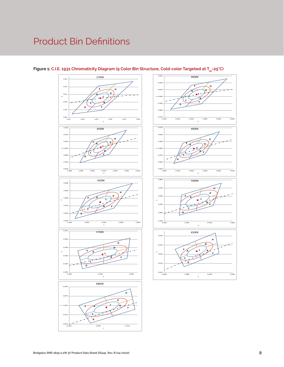## Product Bin Definitions





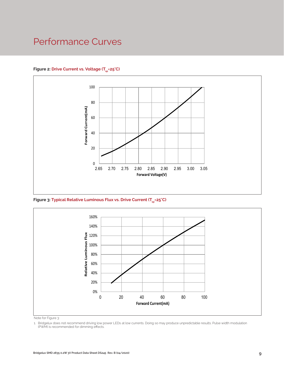### Performance Curves

### Figure 2: Drive Current vs. Voltage (T<sub>SD</sub>=25°C)



Figure 3: Typical Relative Luminous Flux vs. Drive Current (T<sub>sp</sub>=25°C)



Note for Figure 3:

1. Bridgelux does not recommend driving low power LEDs at low currents. Doing so may produce unpredictable results. Pulse width modulation (PWM) is recommended for dimming effects.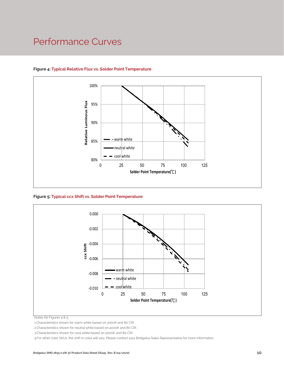### Performance Curves



### **Figure 4: Typical Relative Flux vs. Solder Point Temperature**

**Figure 5: Typical ccx Shift vs. Solder Point Temperature**



Notes for Figures 4 & 5:

1.Characteristics shown for warm white based on 3000K and 80 CRI

2.Characteristics shown for neutral white based on 4000K and 80 CRI.

3.Characteristics shown for cool white based on 5000K and 80 CRI.

4.For other color SKUs, the shift in color will vary. Please contact your Bridgelux Sales Representative for more information.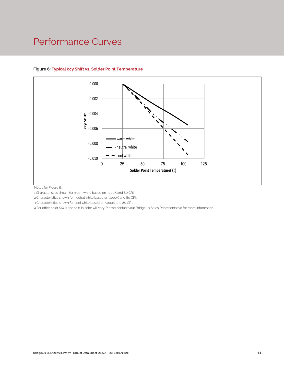### Performance Curves



### **Figure 6: Typical ccy Shift vs. Solder Point Temperature**

Notes for Figure 6:

1.Characteristics shown for warm white based on 3000K and 80 CRI

2.Characteristics shown for neutral white based on 4000K and 80 CRI.

3.Characteristics shown for cool white based on 5000K and 80 CRI.

CRI<br>o CRI.<br>your Bridgelux Sales Representative for more informatic<br>your Bridgelux Sales Representative for more informatic 4.For other color SKUs, the shift in color will vary. Please contact your Bridgelux Sales Representative for more information.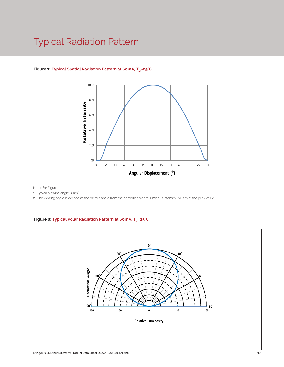## Typical Radiation Pattern



### Figure 7: Typical Spatial Radiation Pattern at 60mA, T<sub>er</sub>=25°C

Notes for Figure 7:

1. Typical viewing angle is 120°. .

2. The viewing angle is defined as the off axis angle from the centerline where luminous intensity (Iv) is ½ of the peak value.

### Figure 8: Typical Polar Radiation Pattern at 60mA, T<sub>sp</sub>=25°C

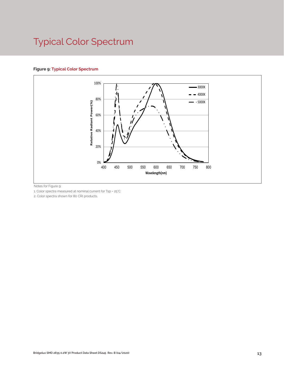# Typical Color Spectrum

### **Figure 9: Typical Color Spectrum**



Notes for Figure 9:

1. Color spectra measured at nominal current for Tsp = 25°C

2. Color spectra shown for 80 CRI products.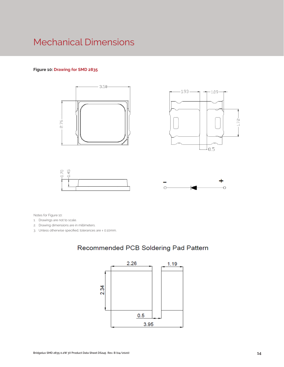### Mechanical Dimensions

#### **Figure 10: Drawing for SMD 2835**









Notes for Figure 10:

- 1. Drawings are not to scale.
- 2. Drawing dimensions are in millimeters.
- 3. Unless otherwise specified, tolerances are ± 0.10mm.

### Recommended PCB Soldering Pad Pattern

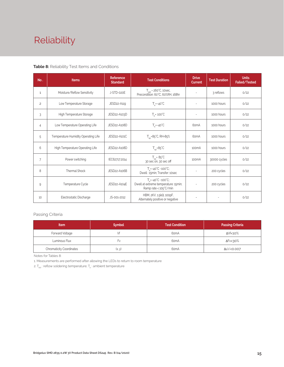# Reliability

#### **Table 8:** Reliability Test Items and Conditions

| No.            | <b>Items</b>                        | <b>Reference</b><br><b>Standard</b> | <b>Test Conditions</b>                                                                                 | <b>Drive</b><br><b>Current</b> | <b>Test Duration</b> | <b>Units</b><br>Failed/Tested |
|----------------|-------------------------------------|-------------------------------------|--------------------------------------------------------------------------------------------------------|--------------------------------|----------------------|-------------------------------|
| 1              | Moisture/Reflow Sensitivity         | J-STD-020E                          | $T_{\text{cld}}$ = 260°C, 10sec,<br>Precondition: 60°C, 60%RH, 168hr                                   | $\sim$                         | 3 reflows            | 0/22                          |
| $\overline{c}$ | Low Temperature Storage             | JESD22-A119                         | $T_a = -40^{\circ}C$                                                                                   | $\bar{a}$                      | 1000 hours           | 0/22                          |
| 3              | High Temperature Storage            | JESD22-A103D                        | $T_a = 100^{\circ}$ C                                                                                  | $\sim$                         | 1000 hours           | 0/22                          |
| 4              | Low Temperature Operating Life      | JESD22-A108D                        | $T_s = -40^{\circ}C$                                                                                   | 60 <sub>m</sub> A              | 1000 hours           | 0/22                          |
| 5              | Temperature Humidity Operating Life | JESD22-A101C                        | $T_{SD} = 85^{\circ}$ C, RH=85%                                                                        | 60 <sub>m</sub> A              | 1000 hours           | 0/22                          |
| 6              | High Temperature Operating Life     | JESD22-A108D                        | $T_{sn} = 85^{\circ}C$                                                                                 | 100 <sub>m</sub> A             | 1000 hours           | 0/22                          |
| $\overline{7}$ | Power switching                     | IEC62717:2014                       | $T_{\rm SD} = 85^{\circ}C$<br>30 sec on, 30 sec off                                                    | 100 <sub>m</sub> A             | 30000 cycles         | 0/22                          |
| 8              | <b>Thermal Shock</b>                | JESD22-A106B                        | $T_a = -40^{\circ}C - 100^{\circ}C$ ;<br>Dwell: 15min; Transfer: 10sec                                 | $\sim$                         | 200 cycles           | 0/22                          |
| 9              | Temperature Cycle<br>JESD22-A104E   |                                     | $T_a = -40^{\circ}C - 100^{\circ}C$ ;<br>Dwell at extreme temperature: 15min;<br>Ramp rate < 105°C/min |                                | 200 cycles           | 0/22                          |
| 10             | Electrostatic Discharge             | JS-001-2012                         | HBM, $2KV$ , $1.5k\Omega$ , 100pF,<br>Alternately positive or negative                                 | $\overline{\phantom{a}}$       |                      | 0/22                          |

### Passing Criteria

| <b>Item</b>                     | <b>Symbol</b> | <b>Test Condition</b> | <b>Passing Criteria</b> |
|---------------------------------|---------------|-----------------------|-------------------------|
| Forward Voltage                 |               | 60 <sub>m</sub> A     | ΔVf<10%                 |
| Luminous Flux                   | ۲v            | 60 <sub>m</sub> A     | ΔFν<30%                 |
| <b>Chromaticity Coordinates</b> | (x, y)        | 60 <sub>m</sub> A     | Δu'v'<0.007             |

Notes for Tables 8:

1. Measurements are performed after allowing the LEDs to return to room temperature

2.  $\mathsf{T}_{\sf std}$  : reflow soldering temperature;  $\mathsf{T}_{\sf a}$  : ambient temperature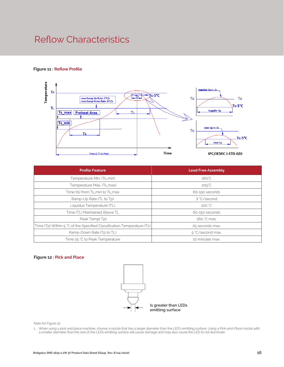### Reflow Characteristics

#### **Figure 11 : Reflow Profile**



| <b>Profile Feature</b>                                                 | <b>Lead Free Assembly</b> |  |  |  |
|------------------------------------------------------------------------|---------------------------|--|--|--|
| Temperature Min. (Ts_min)                                              | $160^{\circ}$ C           |  |  |  |
| Temperature Max. (Ts_max)                                              | $205^{\circ}$ C           |  |  |  |
| Time (ts) from Ts_min to Ts_max                                        | 60-150 seconds            |  |  |  |
| Ramp-Up Rate (TL to Tp)                                                | 3 °C/second               |  |  |  |
| Liquidus Temperature (TL)                                              | 220 °C                    |  |  |  |
| Time (TL) Maintained Above TL                                          | 60-150 seconds            |  |  |  |
| Peak Temp(Tp)                                                          | 260 °C max.               |  |  |  |
| Time (Tp) Within 5 °C of the Specified Classification Temperature (Tc) | 25 seconds max.           |  |  |  |
| Ramp-Down Rate (Tp to TL)                                              | 5 °C/second max.          |  |  |  |
| Time 25 °C to Peak Temperature                                         | 10 minutes max.           |  |  |  |

#### **Figure 12 : Pick and Place**



Note for Figure 12:

1. When using a pick and place machine, choose a nozzle that has a larger diameter than the LED's emitting surface. Using a Pick-and-Place nozzle with a smaller diameter than the size of the LEDs emitting surface will cause damage and may also cause the LED to not illuminate.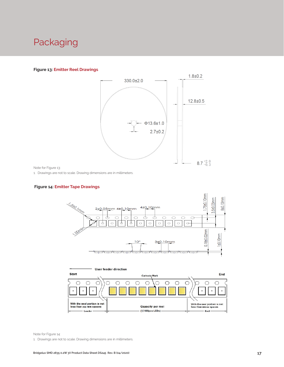### Packaging

#### **Figure 13: Emitter Reel Drawings**



Note for Figure 13:

1. Drawings are not to scale. Drawing dimensions are in millimeters.

#### **Figure 14: Emitter Tape Drawings**





Note for Figure 14:

1. Drawings are not to scale. Drawing dimensions are in millimeters.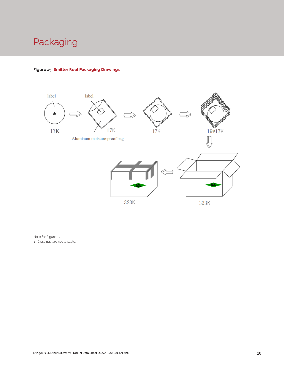## Packaging

### **Figure 15: Emitter Reel Packaging Drawings**



Note for Figure 15:

1. Drawings are not to scale.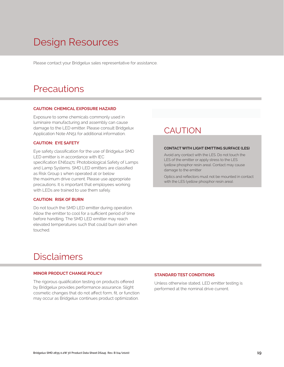## Design Resources

Please contact your Bridgelux sales representative for assistance.

### **Precautions**

#### **CAUTION: CHEMICAL EXPOSURE HAZARD**

Exposure to some chemicals commonly used in luminaire manufacturing and assembly can cause damage to the LED emitter. Please consult Bridgelux Application Note AN51 for additional information.

#### **CAUTION: EYE SAFETY**

Eye safety classification for the use of Bridgelux SMD LED emitter is in accordance with IEC specification EN62471: Photobiological Safety of Lamps and Lamp Systems. SMD LED emitters are classified as Risk Group 1 when operated at or below the maximum drive current. Please use appropriate precautions. It is important that employees working with LEDs are trained to use them safely.

#### **CAUTION: RISK OF BURN**

Do not touch the SMD LED emitter during operation. Allow the emitter to cool for a sufficient period of time before handling. The SMD LED emitter may reach elevated temperatures such that could burn skin when touched.

### **CAUTION**

#### **CONTACT WITH LIGHT EMITTING SURFACE (LES)**

Avoid any contact with the LES. Do not touch the LES of the emitter or apply stress to the LES (yellow phosphor resin area). Contact may cause damage to the emitter

Optics and reflectors must not be mounted in contact with the LES (yellow phosphor resin area).

### Disclaimers

#### **MINOR PRODUCT CHANGE POLICY**

The rigorous qualification testing on products offered by Bridgelux provides performance assurance. Slight cosmetic changes that do not affect form, fit, or function may occur as Bridgelux continues product optimization.

#### **STANDARD TEST CONDITIONS**

Unless otherwise stated, LED emitter testing is performed at the nominal drive current.